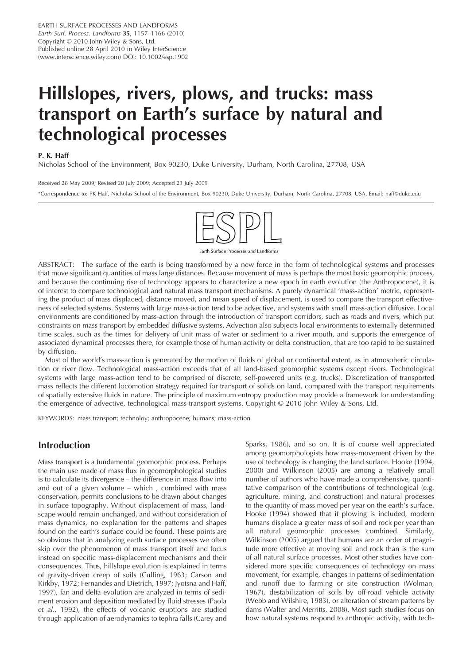EARTH SURFACE PROCESSES AND LANDFORMS *Earth Surf. Process. Landforms* **35**, 1157–1166 (2010) Copyright © 2010 John Wiley & Sons, Ltd. Published online 28 April 2010 in Wiley InterScience (www.interscience.wiley.com) DOI: 10.1002/esp.1902

# **Hillslopes, rivers, plows, and trucks: mass transport on Earth's surface by natural and technological processes**

#### **P. K. Haff**

Nicholas School of the Environment, Box 90230, Duke University, Durham, North Carolina, 27708, USA

Received 28 May 2009; Revised 20 July 2009; Accepted 23 July 2009

\*Correspondence to: PK Haff, Nicholas School of the Environment, Box 90230, Duke University, Durham, North Carolina, 27708, USA. Email: haff@duke.edu



Earth Surface Processes and Landforms

ABSTRACT: The surface of the earth is being transformed by a new force in the form of technological systems and processes that move significant quantities of mass large distances. Because movement of mass is perhaps the most basic geomorphic process, and because the continuing rise of technology appears to characterize a new epoch in earth evolution (the Anthropocene), it is of interest to compare technological and natural mass transport mechanisms. A purely dynamical 'mass-action' metric, representing the product of mass displaced, distance moved, and mean speed of displacement, is used to compare the transport effectiveness of selected systems. Systems with large mass-action tend to be advective, and systems with small mass-action diffusive. Local environments are conditioned by mass-action through the introduction of transport corridors, such as roads and rivers, which put constraints on mass transport by embedded diffusive systems. Advection also subjects local environments to externally determined time scales, such as the times for delivery of unit mass of water or sediment to a river mouth, and supports the emergence of associated dynamical processes there, for example those of human activity or delta construction, that are too rapid to be sustained by diffusion.

Most of the world's mass-action is generated by the motion of fluids of global or continental extent, as in atmospheric circulation or river flow. Technological mass-action exceeds that of all land-based geomorphic systems except rivers. Technological systems with large mass-action tend to be comprised of discrete, self-powered units (e.g. trucks). Discretization of transported mass reflects the different locomotion strategy required for transport of solids on land, compared with the transport requirements of spatially extensive fluids in nature. The principle of maximum entropy production may provide a framework for understanding the emergence of advective, technological mass-transport systems. Copyright © 2010 John Wiley & Sons, Ltd.

KEYWORDS: mass transport; technoloy; anthropocene; humans; mass-action

### **Introduction**

Mass transport is a fundamental geomorphic process. Perhaps the main use made of mass flux in geomorphological studies is to calculate its divergence – the difference in mass flow into and out of a given volume – which , combined with mass conservation, permits conclusions to be drawn about changes in surface topography. Without displacement of mass, landscape would remain unchanged, and without consideration of mass dynamics, no explanation for the patterns and shapes found on the earth's surface could be found. These points are so obvious that in analyzing earth surface processes we often skip over the phenomenon of mass transport itself and focus instead on specific mass-displacement mechanisms and their consequences. Thus, hillslope evolution is explained in terms of gravity-driven creep of soils (Culling, 1963; Carson and Kirkby, 1972; Fernandes and Dietrich, 1997; Jyotsna and Haff, 1997), fan and delta evolution are analyzed in terms of sediment erosion and deposition mediated by fluid stresses (Paola *et al*., 1992), the effects of volcanic eruptions are studied through application of aerodynamics to tephra falls (Carey and Sparks, 1986), and so on. It is of course well appreciated among geomorphologists how mass-movement driven by the use of technology is changing the land surface. Hooke (1994, 2000) and Wilkinson (2005) are among a relatively small number of authors who have made a comprehensive, quantitative comparison of the contributions of technological (e.g. agriculture, mining, and construction) and natural processes to the quantity of mass moved per year on the earth's surface. Hooke (1994) showed that if plowing is included, modern humans displace a greater mass of soil and rock per year than all natural geomorphic processes combined. Similarly, Wilkinson (2005) argued that humans are an order of magnitude more effective at moving soil and rock than is the sum of all natural surface processes. Most other studies have considered more specific consequences of technology on mass movement, for example, changes in patterns of sedimentation and runoff due to farming or site construction (Wolman, 1967), destabilization of soils by off-road vehicle activity (Webb and Wilshire, 1983), or alteration of stream patterns by dams (Walter and Merritts, 2008). Most such studies focus on how natural systems respond to anthropic activity, with tech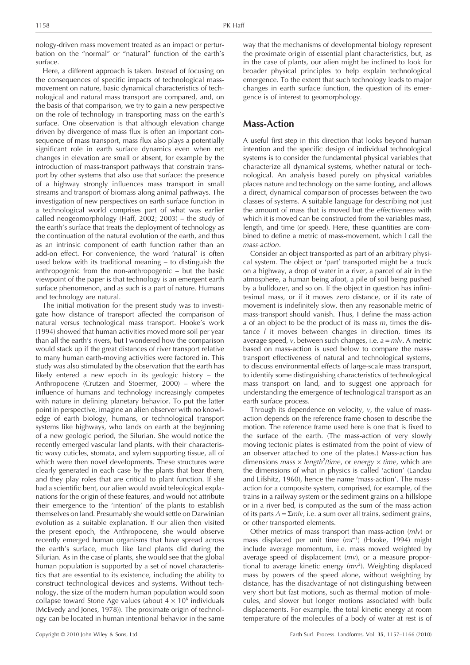nology-driven mass movement treated as an impact or perturbation on the "normal" or "natural" function of the earth's surface.

Here, a different approach is taken. Instead of focusing on the consequences of specific impacts of technological massmovement on nature, basic dynamical characteristics of technological and natural mass transport are compared, and, on the basis of that comparison, we try to gain a new perspective on the role of technology in transporting mass on the earth's surface. One observation is that although elevation change driven by divergence of mass flux is often an important consequence of mass transport, mass flux also plays a potentially significant role in earth surface dynamics even when net changes in elevation are small or absent, for example by the introduction of mass-transport pathways that constrain transport by other systems that also use that surface: the presence of a highway strongly influences mass transport in small streams and transport of biomass along animal pathways. The investigation of new perspectives on earth surface function in a technological world comprises part of what was earlier called neogeomorphology (Haff, 2002; 2003) – the study of the earth's surface that treats the deployment of technology as the continuation of the natural evolution of the earth, and thus as an intrinsic component of earth function rather than an add-on effect. For convenience, the word 'natural' is often used below with its traditional meaning – to distinguish the anthropogenic from the non-anthropogenic – but the basic viewpoint of the paper is that technology is an emergent earth surface phenomenon, and as such is a part of nature. Humans and technology are natural.

The initial motivation for the present study was to investigate how distance of transport affected the comparison of natural versus technological mass transport. Hooke's work (1994) showed that human activities moved more soil per year than all the earth's rivers, but I wondered how the comparison would stack up if the great distances of river transport relative to many human earth-moving activities were factored in. This study was also stimulated by the observation that the earth has likely entered a new epoch in its geologic history – the Anthropocene (Crutzen and Stoermer, 2000) – where the influence of humans and technology increasingly competes with nature in defining planetary behavior. To put the latter point in perspective, imagine an alien observer with no knowledge of earth biology, humans, or technological transport systems like highways, who lands on earth at the beginning of a new geologic period, the Silurian. She would notice the recently emerged vascular land plants, with their characteristic waxy cuticles, stomata, and xylem supporting tissue, all of which were then novel developments. These structures were clearly generated in each case by the plants that bear them, and they play roles that are critical to plant function. If she had a scientific bent, our alien would avoid teleological explanations for the origin of these features, and would not attribute their emergence to the 'intention' of the plants to establish themselves on land. Presumably she would settle on Darwinian evolution as a suitable explanation. If our alien then visited the present epoch, the Anthropocene, she would observe recently emerged human organisms that have spread across the earth's surface, much like land plants did during the Silurian. As in the case of plants, she would see that the global human population is supported by a set of novel characteristics that are essential to its existence, including the ability to construct technological devices and systems. Without technology, the size of the modern human population would soon collapse toward Stone Age values (about  $4 \times 10^6$  individuals (McEvedy and Jones, 1978)). The proximate origin of technology can be located in human intentional behavior in the same

way that the mechanisms of developmental biology represent the proximate origin of essential plant characteristics, but, as in the case of plants, our alien might be inclined to look for broader physical principles to help explain technological emergence. To the extent that such technology leads to major changes in earth surface function, the question of its emergence is of interest to geomorphology.

#### **Mass-Action**

A useful first step in this direction that looks beyond human intention and the specific design of individual technological systems is to consider the fundamental physical variables that characterize all dynamical systems, whether natural or technological. An analysis based purely on physical variables places nature and technology on the same footing, and allows a direct, dynamical comparison of processes between the two classes of systems. A suitable language for describing not just the amount of mass that is moved but the *effectiveness* with which it is moved can be constructed from the variables mass. length, and time (or speed). Here, these quantities are combined to define a metric of mass-movement, which I call the *mass-action*.

Consider an object transported as part of an arbitrary physical system. The object or 'part' transported might be a truck on a highway, a drop of water in a river, a parcel of air in the atmosphere, a human being afoot, a pile of soil being pushed by a bulldozer, and so on. If the object in question has infinitesimal mass, or if it moves zero distance, or if its rate of movement is indefinitely slow, then any reasonable metric of mass-transport should vanish. Thus, I define the mass-action *a* of an object to be the product of its mass *m*, times the distance *l* it moves between changes in direction, times its average speed, *v*, between such changes, i.e. *a* = *mlv*. A metric based on mass-action is used below to compare the masstransport effectiveness of natural and technological systems, to discuss environmental effects of large-scale mass transport, to identify some distinguishing characteristics of technological mass transport on land, and to suggest one approach for understanding the emergence of technological transport as an earth surface process.

Through its dependence on velocity, *v*, the value of massaction depends on the reference frame chosen to describe the motion. The reference frame used here is one that is fixed to the surface of the earth. (The mass-action of very slowly moving tectonic plates is estimated from the point of view of an observer attached to one of the plates.) Mass-action has dimensions *mass* × *length*<sup>2</sup> /*time*, or *energy* × *time*, which are the dimensions of what in physics is called 'action' (Landau and Lifshitz, 1960), hence the name 'mass-action'. The massaction for a composite system, comprised, for example, of the trains in a railway system or the sediment grains on a hillslope or in a river bed, is computed as the sum of the mass-action of its parts *A* = Σ*mlv*, i.e. a sum over all trains, sediment grains, or other transported elements.

Other metrics of mass transport than mass-action (*mlv*) or mass displaced per unit time (*mt*<sup>−</sup><sup>1</sup> ) (Hooke, 1994) might include average momentum, i.e. mass moved weighted by average speed of displacement (*mv*), or a measure proportional to average kinetic energy  $(mv^2)$ . Weighting displaced mass by powers of the speed alone, without weighting by distance, has the disadvantage of not distinguishing between very short but fast motions, such as thermal motion of molecules, and slower but longer motions associated with bulk displacements. For example, the total kinetic energy at room temperature of the molecules of a body of water at rest is of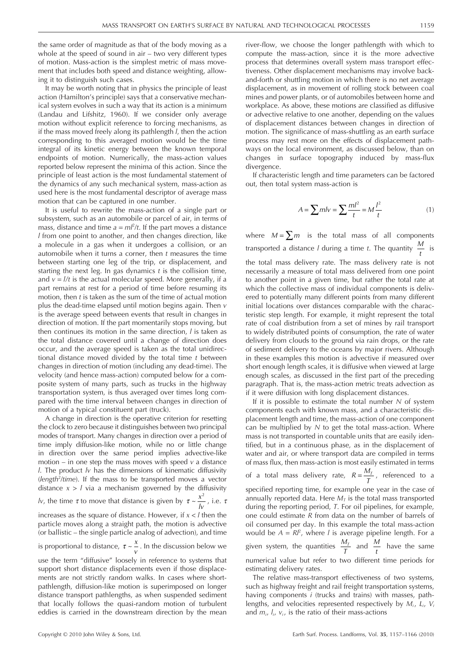the same order of magnitude as that of the body moving as a whole at the speed of sound in air – two very different types of motion. Mass-action is the simplest metric of mass movement that includes both speed and distance weighting, allowing it to distinguish such cases.

It may be worth noting that in physics the principle of least action (Hamilton's principle) says that a conservative mechanical system evolves in such a way that its action is a minimum (Landau and Lifshitz, 1960). If we consider only average motion without explicit reference to forcing mechanisms, as if the mass moved freely along its pathlength *l*, then the action corresponding to this averaged motion would be the time integral of its kinetic energy between the known temporal endpoints of motion. Numerically, the mass-action values reported below represent the minima of this action. Since the principle of least action is the most fundamental statement of the dynamics of any such mechanical system, mass-action as used here is the most fundamental descriptor of average mass motion that can be captured in one number.

It is useful to rewrite the mass-action of a single part or subsystem, such as an automobile or parcel of air, in terms of mass, distance and time  $a = m<sup>p</sup>/t$ . If the part moves a distance *l* from one point to another, and then changes direction, like a molecule in a gas when it undergoes a collision, or an automobile when it turns a corner, then *t* measures the time between starting one leg of the trip, or displacement, and starting the next leg. In gas dynamics *t* is the collision time, and  $v = l/t$  is the actual molecular speed. More generally, if a part remains at rest for a period of time before resuming its motion, then *t* is taken as the sum of the time of actual motion plus the dead-time elapsed until motion begins again. Then *v* is the average speed between events that result in changes in direction of motion. If the part momentarily stops moving, but then continues its motion in the same direction, *l* is taken as the total distance covered until a change of direction does occur, and the average speed is taken as the total unidirectional distance moved divided by the total time *t* between changes in direction of motion (including any dead-time). The velocity (and hence mass-action) computed below for a composite system of many parts, such as trucks in the highway transportation system, is thus averaged over times long compared with the time interval between changes in direction of motion of a typical constituent part (truck).

A change in direction is the operative criterion for resetting the clock to zero because it distinguishes between two principal modes of transport. Many changes in direction over a period of time imply diffusion-like motion, while no or little change in direction over the same period implies advective-like motion – in one step the mass moves with speed *v* a distance *l*. The product *lv* has the dimensions of kinematic diffusivity (*length<sup>2</sup>/time*). If the mass to be transported moves a vector distance  $x > l$  via a mechanism governed by the diffusivity *lv*, the time  $\tau$  to move that distance is given by  $\tau \sim \frac{x^2}{l_v}$ 2 , i.e. *τ* increases as the square of distance. However, if *x* < *l* then the particle moves along a straight path, the motion is advective (or ballistic – the single particle analog of advection), and time is proportional to distance,  $\tau \sim \frac{x}{v}$ . In the discussion below we use the term "diffusive" loosely in reference to systems that

support short distance displacements even if those displacements are not strictly random walks. In cases where shortpathlength, diffusion-like motion is superimposed on longer distance transport pathlengths, as when suspended sediment that locally follows the quasi-random motion of turbulent eddies is carried in the downstream direction by the mean river-flow, we choose the longer pathlength with which to compute the mass-action, since it is the more advective process that determines overall system mass transport effectiveness. Other displacement mechanisms may involve backand-forth or shuttling motion in which there is no net average displacement, as in movement of rolling stock between coal mines and power plants, or of automobiles between home and workplace. As above, these motions are classified as diffusive or advective relative to one another, depending on the values of displacement distances between changes in direction of motion. The significance of mass-shuttling as an earth surface process may rest more on the effects of displacement pathways on the local environment, as discussed below, than on changes in surface topography induced by mass-flux divergence.

If characteristic length and time parameters can be factored out, then total system mass-action is

$$
A = \sum mlv = \sum \frac{ml^2}{t} = M\frac{l^2}{t}
$$
 (1)

where  $M = \sum m$  is the total mass of all components transported a distance *l* during a time *t*. The quantity  $\frac{M}{t}$  is the total mass delivery rate. The mass delivery rate is not necessarily a measure of total mass delivered from one point to another point in a given time, but rather the total rate at which the collective mass of individual components is delivered to potentially many different points from many different initial locations over distances comparable with the characteristic step length. For example, it might represent the total rate of coal distribution from a set of mines by rail transport to widely distributed points of consumption, the rate of water delivery from clouds to the ground via rain drops, or the rate of sediment delivery to the oceans by major rivers. Although in these examples this motion is advective if measured over short enough length scales, it is diffusive when viewed at large enough scales, as discussed in the first part of the preceding paragraph. That is, the mass-action metric treats advection as if it were diffusion with long displacement distances.

If it is possible to estimate the total number *N* of system components each with known mass, and a characteristic displacement length and time, the mass-action of one component can be multiplied by *N* to get the total mass-action. Where mass is not transported in countable units that are easily identified, but in a continuous phase, as in the displacement of water and air, or where transport data are compiled in terms of mass flux, then mass-action is most easily estimated in terms of a total mass delivery rate,  $R = \frac{M_T}{T}$ , referenced to a

specified reporting time, for example one year in the case of annually reported data. Here  $M<sub>T</sub>$  is the total mass transported during the reporting period, *T*. For oil pipelines, for example, one could estimate *R* from data on the number of barrels of oil consumed per day. In this example the total mass-action would be  $A = R^p$ , where *l* is average pipeline length. For a given system, the quantities  $\frac{M_{\tau}}{T}$  and  $\frac{M}{t}$  have the same numerical value but refer to two different time periods for estimating delivery rates.

The relative mass-transport effectiveness of two systems, such as highway freight and rail freight transportation systems, having components *i* (trucks and trains) with masses, pathlengths, and velocities represented respectively by *Mi*, *Li*, *Vi* and *mi*, *li*, *vi*, is the ratio of their mass-actions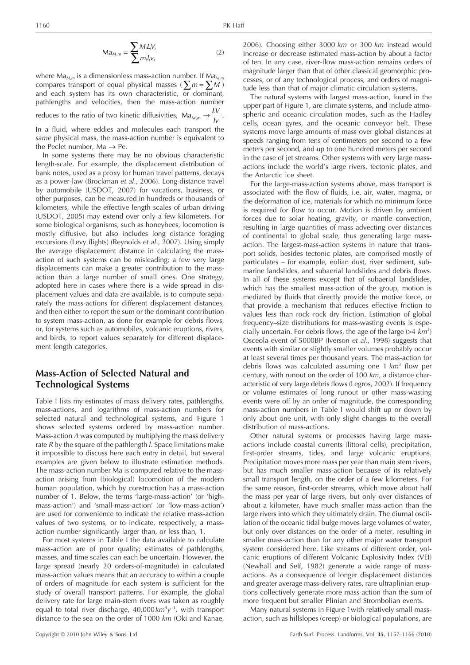$$
Ma_{M,m} = \frac{\sum M_i L_i V_i}{\sum m_i l_i v_i} \tag{2}
$$

where  $Ma_{M,m}$  is a dimensionless mass-action number. If  $Ma_{M,m}$ compares transport of equal physical masses ( $\sum m = \sum M$ ) and each system has its own characteristic, or dominant, pathlengths and velocities, then the mass-action number reduces to the ratio of two kinetic diffusivities,  $Ma_{M,m} \rightarrow \frac{LV}{lv}$ . In a fluid, where eddies and molecules each transport the *same* physical mass, the mass-action number is equivalent to the Peclet number,  $Ma \rightarrow Pe$ .

In some systems there may be no obvious characteristic length-scale. For example, the displacement distribution of bank notes, used as a proxy for human travel patterns, decays as a power-law (Brockman *et al*., 2006). Long-distance travel by automobile (USDOT, 2007) for vacations, business, or other purposes, can be measured in hundreds or thousands of kilometers, while the effective length scales of urban driving (USDOT, 2005) may extend over only a few kilometers. For some biological organisms, such as honeybees, locomotion is mostly diffusive, but also includes long distance foraging excursions (Levy flights) (Reynolds et al., 2007). Using simply the average displacement distance in calculating the massaction of such systems can be misleading; a few very large displacements can make a greater contribution to the massaction than a large number of small ones. One strategy, adopted here in cases where there is a wide spread in displacement values and data are available, is to compute separately the mass-actions for different displacement distances, and then either to report the sum or the dominant contribution to system mass-action, as done for example for debris flows, or, for systems such as automobiles, volcanic eruptions, rivers, and birds, to report values separately for different displacement length categories.

## **Mass-Action of Selected Natural and Technological Systems**

Table I lists my estimates of mass delivery rates, pathlengths, mass-actions, and logarithms of mass-action numbers for selected natural and technological systems, and Figure 1 shows selected systems ordered by mass-action number. Mass-action *A* was computed by multiplying the mass delivery rate *R* by the square of the pathlength *l*. Space limitations make it impossible to discuss here each entry in detail, but several examples are given below to illustrate estimation methods. The mass-action number Ma is computed relative to the massaction arising from (biological) locomotion of the modern human population, which by construction has a mass-action number of 1. Below, the terms 'large-mass-action' (or 'highmass-action') and 'small-mass-action' (or 'low-mass-action') are used for convenience to indicate the relative mass-action values of two systems, or to indicate, respectively, a massaction number significantly larger than, or less than, 1.

For most systems in Table I the data available to calculate mass-action are of poor quality; estimates of pathlengths, masses, and time scales can each be uncertain. However, the large spread (nearly 20 orders-of-magnitude) in calculated mass-action values means that an accuracy to within a couple of orders of magnitude for each system is sufficient for the study of overall transport patterns. For example, the global delivery rate for large main-stem rivers was taken as roughly equal to total river discharge, 40,000 *km*<sup>3</sup>y<sup>−1</sup>, with transport distance to the sea on the order of 1000 *km* (Oki and Kanae,

2006). Choosing either 3000 *km* or 300 *km* instead would increase or decrease estimated mass-action by about a factor of ten. In any case, river-flow mass-action remains orders of magnitude larger than that of other classical geomorphic processes, or of any technological process, and orders of magnitude less than that of major climatic circulation systems.

The natural systems with largest mass-action, found in the upper part of Figure 1, are climate systems, and include atmospheric and oceanic circulation modes, such as the Hadley cells, ocean gyres, and the oceanic conveyor belt. These systems move large amounts of mass over global distances at speeds ranging from tens of centimeters per second to a few meters per second, and up to one hundred meters per second in the case of jet streams. Other systems with very large massactions include the world's large rivers, tectonic plates, and the Antarctic ice sheet.

For the large-mass-action systems above, mass transport is associated with the flow of fluids, i.e. air, water, magma, or the deformation of ice, materials for which no minimum force is required for flow to occur. Motion is driven by ambient forces due to solar heating, gravity, or mantle convection, resulting in large quantities of mass advecting over distances of continental to global scale, thus generating large massaction. The largest-mass-action systems in nature that transport solids, besides tectonic plates, are comprised mostly of particulates – for example, eolian dust, river sediment, submarine landslides, and subaerial landslides and debris flows. In all of these systems except that of subaerial landslides, which has the smallest mass-action of the group, motion is mediated by fluids that directly provide the motive force, or that provide a mechanism that reduces effective friction to values less than rock–rock dry friction. Estimation of global frequency–size distributions for mass-wasting events is especially uncertain. For debris flows, the age of the large  $(>4 \text{ km}^3)$ Osceola event of 5000BP (Iverson *et al*., 1998) suggests that events with similar or slightly smaller volumes probably occur at least several times per thousand years. The mass-action for debris flows was calculated assuming one 1 km<sup>3</sup> flow per century, with runout on the order of 100 *km*, a distance characteristic of very large debris flows (Legros, 2002). If frequency or volume estimates of long runout or other mass-wasting events were off by an order of magnitude, the corresponding mass-action numbers in Table I would shift up or down by only about one unit, with only slight changes to the overall distribution of mass-actions.

Other natural systems or processes having large massactions include coastal currents (littoral cells), precipitation, first-order streams, tides, and large volcanic eruptions. Precipitation moves more mass per year than main stem rivers, but has much smaller mass-action because of its relatively small transport length, on the order of a few kilometers. For the same reason, first-order streams, which move about half the mass per year of large rivers, but only over distances of about a kilometer, have much smaller mass-action than the large rivers into which they ultimately drain. The diurnal oscillation of the oceanic tidal bulge moves large volumes of water, but only over distances on the order of a meter, resulting in smaller mass-action than for any other major water transport system considered here. Like streams of different order, volcanic eruptions of different Volcanic Explosivity Index (VEI) (Newhall and Self, 1982) generate a wide range of massactions. As a consequence of longer displacement distances and greater average mass-delivery rates, rare ultraplinian eruptions collectively generate more mass-action than the sum of more frequent but smaller Plinian and Strombolian events.

Many natural systems in Figure 1with relatively small massaction, such as hillslopes (creep) or biological populations, are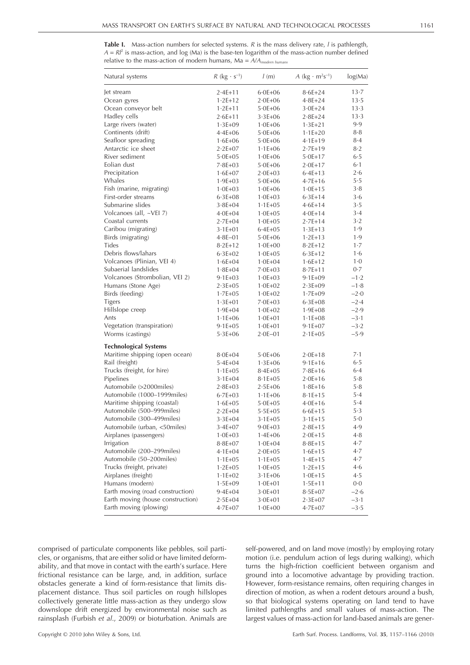**Table I.** Mass-action numbers for selected systems. *R* is the mass delivery rate, *l* is pathlength,  $A = R$ <sup> $\beta$ </sup> is mass-action, and log (Ma) is the base-ten logarithm of the mass-action number defined relative to the mass-action of modern humans, Ma = *A*/*Amodern humans*

| Natural systems                   | $R$ (kg $\cdot$ s <sup>-1</sup> ) | 1(m)         | A (kg $\cdot$ m <sup>2</sup> s <sup>-1</sup> ) | log(Ma)        |
|-----------------------------------|-----------------------------------|--------------|------------------------------------------------|----------------|
| let stream                        | $2.4E + 11$                       | $6.0E + 06$  | $8.6E + 24$                                    | 13.7           |
| Ocean gyres                       | $1.2E + 12$                       | $2.0E + 06$  | $4.8E + 24$                                    | 13.5           |
| Ocean conveyor belt               | $1.2E + 11$                       | $5.0E + 06$  | $3.0E + 24$                                    | 13.3           |
| Hadley cells                      | $2.6E + 11$                       | $3.3E + 06$  | $2.8E + 24$                                    | 13.3           |
| Large rivers (water)              | $1.3E + 09$                       | $1.0E + 06$  | $1.3E + 21$                                    | 9.9            |
| Continents (drift)                | $4.4E + 06$                       | $5.0E + 06$  | $1.1E + 20$                                    | 8.8            |
| Seafloor spreading                | $1.6E + 06$                       | $5.0E + 06$  | $4.1E + 19$                                    | 8.4            |
| Antarctic ice sheet               | $2.2E + 07$                       | $1.1E + 06$  | $2.7E + 19$                                    | $8-2$          |
| River sediment                    | $5.0E + 05$                       | $1.0E + 06$  | $5.0E + 17$                                    | 6.5            |
| Eolian dust                       | $7.8E + 03$                       | $5.0E + 06$  | $2.0E + 17$                                    | $6-1$          |
| Precipitation                     | $1.6E + 07$                       | $2.0E + 03$  | $6.4E + 13$                                    | 2·6            |
| Whales                            | $1.9E + 03$                       | $5.0E + 06$  | $4.7E + 16$                                    | 5.5            |
| Fish (marine, migrating)          | $1.0E + 03$                       | $1.0E + 06$  | $1.0E + 15$                                    | 3.8            |
| First-order streams               | $6.3E + 08$                       | $1.0E + 03$  | $6.3E + 14$                                    | 3·6            |
| Submarine slides                  | $3.8E + 04$                       | $1.1E + 0.5$ | $4.6E + 14$                                    | 3.5            |
| Volcanoes (all, ~VEI 7)           | $4.0E + 04$                       | $1.0E + 05$  | $4.0E + 14$                                    | 3·4            |
| Coastal currents                  | $2.7E + 04$                       | $1.0E + 0.5$ | $2.7E + 14$                                    | 3.2            |
| Caribou (migrating)               | $3.1E + 01$                       | $6.4E + 0.5$ | $1.3E + 13$                                    | 1.9            |
| Birds (migrating)                 | $4.8E - 01$                       | $5.0E + 06$  | $1.2E + 13$                                    | 1.9            |
| Tides                             | $8.2E + 12$                       | $1.0E + 00$  | $8.2E + 12$                                    | 1.7            |
| Debris flows/lahars               | $6.3E + 02$                       | $1.0E + 05$  | $6.3E + 12$                                    | 1·6            |
| Volcanoes (Plinian, VEI 4)        | $1.6E + 04$                       | $1.0E + 04$  | $1.6E + 12$                                    | $1-0$          |
| Subaerial landslides              | $1.8E + 04$                       | $7.0E + 03$  | $8.7E + 11$                                    | 0.7            |
| Volcanoes (Strombolian, VEI 2)    | $9.1E + 03$                       | $1.0E + 03$  | $9.1E + 09$                                    | $-1.2$         |
| Humans (Stone Age)                | $2.3E + 0.5$                      | $1.0E + 02$  | $2.3E + 09$                                    | $-1.8$         |
| Birds (feeding)                   | $1.7E + 05$                       | $1.0E + 02$  | $1.7E + 09$                                    | $-2.0$         |
| <b>Tigers</b>                     | $1.3E + 01$                       | $7.0E + 03$  | $6.3E + 08$                                    | $-2.4$         |
| Hillslope creep                   | $1.9E + 04$                       | $1.0E + 02$  | $1.9E + 08$                                    | $-2.9$         |
| Ants                              | $1.1E + 06$                       | $1.0E + 01$  | $1.1E + 08$                                    | $-3.1$         |
| Vegetation (transpiration)        | $9.1E + 05$                       | $1.0E + 01$  | $9.1E + 07$                                    | $-3.2$         |
| Worms (castings)                  | $5.3E + 06$                       | $2.0E - 01$  | $2.1E + 0.5$                                   | $-5.9$         |
| <b>Technological Systems</b>      |                                   |              |                                                |                |
| Maritime shipping (open ocean)    | $8.0E + 04$                       | $5.0E + 06$  | $2.0E + 18$                                    | 7.1            |
| Rail (freight)                    | $5.4E + 04$                       | $1.3E + 06$  | $9.1E + 16$                                    | 6.5            |
| Trucks (freight, for hire)        | $1.1E + 0.5$                      | $8.4E + 05$  | $7.8E + 16$                                    | $6 - 4$        |
| Pipelines                         | $3.1E + 04$                       | $8.1E + 0.5$ | $2.0E + 16$                                    | 5.8            |
| Automobile (>2000miles)           | $2.8E + 03$                       | $2.5E + 06$  | $1.8E + 16$                                    | 5.8            |
| Automobile (1000-1999miles)       | $6.7E + 03$                       | $1.1E + 06$  | $8.1E + 15$                                    | 5.4            |
| Maritime shipping (coastal)       | $1.6E + 05$                       | $5.0E + 0.5$ | $4.0E + 16$                                    | 5·4            |
| Automobile (500–999 miles)        | $2.2E + 04$                       | $5.5E + 0.5$ | $6.6E + 15$                                    | 5.3            |
| Automobile (300–499miles)         | $3.3E + 04$                       | $3.1E + 0.5$ | $3.1E + 15$                                    | 5·0            |
| Automobile (urban, <50miles)      | $3.4E + 07$                       | $9.0E + 03$  | $2.8E + 15$                                    | 4.9            |
| Airplanes (passengers)            | $1.0E + 03$                       | $1.4E + 06$  | $2.0E + 15$                                    | 4.8            |
| Irrigation                        | $8.8E + 07$                       | $1.0E + 04$  | $8.8E + 15$                                    | 4.7            |
| Automobile (200-299miles)         | $4.1E + 04$                       | $2.0E + 05$  | $1.6E + 15$                                    | 4.7            |
| Automobile (50-200miles)          | $1.1E + 0.5$                      | $1.1E + 0.5$ | $1.4E + 15$                                    | 4.7            |
| Trucks (freight, private)         | $1.2E + 0.5$                      | $1.0E + 05$  | $1.2E + 15$                                    | 4.6            |
| Airplanes (freight)               | $1.1E + 02$                       | $3.1E + 06$  | $1.0E + 15$                                    | 4.5            |
| Humans (modern)                   | $1.5E + 09$                       | $1.0E + 01$  | $1.5E + 11$                                    | 0 <sub>0</sub> |
| Earth moving (road construction)  | $9.4E + 04$                       | $3.0E + 01$  | $8.5E + 07$                                    | $-2.6$         |
| Earth moving (house construction) | $2.5E + 04$                       | $3.0E + 01$  | $2.3E + 07$                                    | $-3.1$         |
| Earth moving (plowing)            | $4.7E + 07$                       | $1.0E + 00$  | $4.7E + 07$                                    | $-3.5$         |
|                                   |                                   |              |                                                |                |

comprised of particulate components like pebbles, soil particles, or organisms, that are either solid or have limited deformability, and that move in contact with the earth's surface. Here frictional resistance can be large, and, in addition, surface obstacles generate a kind of form-resistance that limits displacement distance. Thus soil particles on rough hillslopes collectively generate little mass-action as they undergo slow downslope drift energized by environmental noise such as rainsplash (Furbish *et al*., 2009) or bioturbation. Animals are self-powered, and on land move (mostly) by employing rotary motion (i.e. pendulum action of legs during walking), which turns the high-friction coefficient between organism and ground into a locomotive advantage by providing traction. However, form-resistance remains, often requiring changes in direction of motion, as when a rodent detours around a bush, so that biological systems operating on land tend to have limited pathlengths and small values of mass-action. The largest values of mass-action for land-based animals are gener-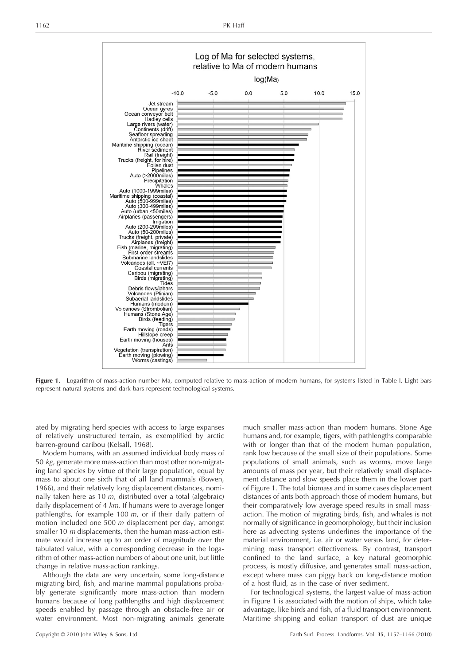

**Figure 1.** Logarithm of mass-action number Ma, computed relative to mass-action of modern humans, for systems listed in Table I. Light bars represent natural systems and dark bars represent technological systems.

ated by migrating herd species with access to large expanses of relatively unstructured terrain, as exemplified by arctic barren-ground caribou (Kelsall, 1968).

Modern humans, with an assumed individual body mass of 50 *kg*, generate more mass-action than most other non-migrating land species by virtue of their large population, equal by mass to about one sixth that of all land mammals (Bowen, 1966), and their relatively long displacement distances, nominally taken here as 10 *m*, distributed over a total (algebraic) daily displacement of 4 *km*. If humans were to average longer pathlengths, for example 100 *m*, or if their daily pattern of motion included one 500 *m* displacement per day, amongst smaller 10 *m* displacements, then the human mass-action estimate would increase up to an order of magnitude over the tabulated value, with a corresponding decrease in the logarithm of other mass-action numbers of about one unit, but little change in relative mass-action rankings.

Although the data are very uncertain, some long-distance migrating bird, fish, and marine mammal populations probably generate significantly more mass-action than modern humans because of long pathlengths and high displacement speeds enabled by passage through an obstacle-free air or water environment. Most non-migrating animals generate much smaller mass-action than modern humans. Stone Age humans and, for example, tigers, with pathlengths comparable with or longer than that of the modern human population, rank low because of the small size of their populations. Some populations of small animals, such as worms, move large amounts of mass per year, but their relatively small displacement distance and slow speeds place them in the lower part of Figure 1. The total biomass and in some cases displacement distances of ants both approach those of modern humans, but their comparatively low average speed results in small massaction. The motion of migrating birds, fish, and whales is not normally of significance in geomorphology, but their inclusion here as advecting systems underlines the importance of the material environment, i.e. air or water versus land, for determining mass transport effectiveness. By contrast, transport confined to the land surface, a key natural geomorphic process, is mostly diffusive, and generates small mass-action, except where mass can piggy back on long-distance motion of a host fluid, as in the case of river sediment.

For technological systems, the largest value of mass-action in Figure 1 is associated with the motion of ships, which take advantage, like birds and fish, of a fluid transport environment. Maritime shipping and eolian transport of dust are unique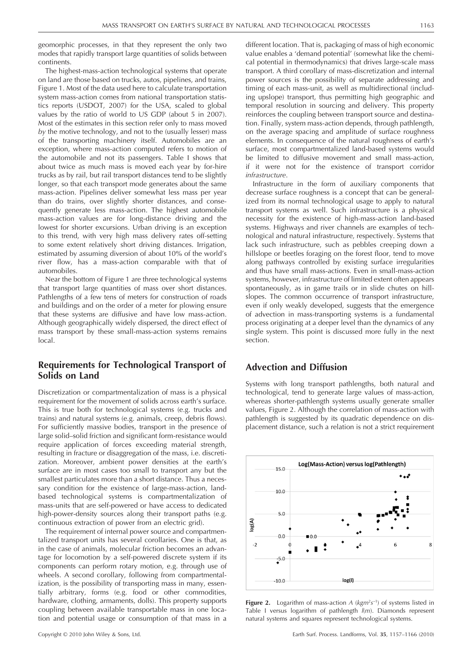geomorphic processes, in that they represent the only two modes that rapidly transport large quantities of solids between continents.

The highest-mass-action technological systems that operate on land are those based on trucks, autos, pipelines, and trains, Figure 1. Most of the data used here to calculate transportation system mass-action comes from national transportation statistics reports (USDOT, 2007) for the USA, scaled to global values by the ratio of world to US GDP (about 5 in 2007). Most of the estimates in this section refer only to mass moved *by* the motive technology, and not to the (usually lesser) mass of the transporting machinery itself. Automobiles are an exception, where mass-action computed refers to motion of the automobile and not its passengers. Table I shows that about twice as much mass is moved each year by for-hire trucks as by rail, but rail transport distances tend to be slightly longer, so that each transport mode generates about the same mass-action. Pipelines deliver somewhat less mass per year than do trains, over slightly shorter distances, and consequently generate less mass-action. The highest automobile mass-action values are for long-distance driving and the lowest for shorter excursions. Urban driving is an exception to this trend, with very high mass delivery rates off-setting to some extent relatively short driving distances. Irrigation, estimated by assuming diversion of about 10% of the world's river flow, has a mass-action comparable with that of automobiles.

Near the bottom of Figure 1 are three technological systems that transport large quantities of mass over short distances. Pathlengths of a few tens of meters for construction of roads and buildings and on the order of a meter for plowing ensure that these systems are diffusive and have low mass-action. Although geographically widely dispersed, the direct effect of mass transport by these small-mass-action systems remains local.

## **Requirements for Technological Transport of Solids on Land**

Discretization or compartmentalization of mass is a physical requirement for the movement of solids across earth's surface. This is true both for technological systems (e.g. trucks and trains) and natural systems (e.g. animals, creep, debris flows). For sufficiently massive bodies, transport in the presence of large solid-solid friction and significant form-resistance would require application of forces exceeding material strength, resulting in fracture or disaggregation of the mass, i.e. discretization. Moreover, ambient power densities at the earth's surface are in most cases too small to transport any but the smallest particulates more than a short distance. Thus a necessary condition for the existence of large-mass-action, landbased technological systems is compartmentalization of mass-units that are self-powered or have access to dedicated high-power-density sources along their transport paths (e.g. continuous extraction of power from an electric grid).

The requirement of internal power source and compartmentalized transport units has several corollaries. One is that, as in the case of animals, molecular friction becomes an advantage for locomotion by a self-powered discrete system if its components can perform rotary motion, e.g. through use of wheels. A second corollary, following from compartmentalization, is the possibility of transporting mass in many, essentially arbitrary, forms (e.g. food or other commodities, hardware, clothing, armaments, dolls). This property supports coupling between available transportable mass in one location and potential usage or consumption of that mass in a

different location. That is, packaging of mass of high economic value enables a 'demand potential' (somewhat like the chemical potential in thermodynamics) that drives large-scale mass transport. A third corollary of mass-discretization and internal power sources is the possibility of separate addressing and timing of each mass-unit, as well as multidirectional (including upslope) transport, thus permitting high geographic and temporal resolution in sourcing and delivery. This property reinforces the coupling between transport source and destination. Finally, system mass-action depends, through pathlength, on the average spacing and amplitude of surface roughness elements. In consequence of the natural roughness of earth's surface, most compartmentalized land-based systems would be limited to diffusive movement and small mass-action, if it were not for the existence of transport corridor *infrastructure*.

Infrastructure in the form of auxiliary components that decrease surface roughness is a concept that can be generalized from its normal technological usage to apply to natural transport systems as well. Such infrastructure is a physical necessity for the existence of high-mass-action land-based systems. Highways and river channels are examples of technological and natural infrastructure, respectively. Systems that lack such infrastructure, such as pebbles creeping down a hillslope or beetles foraging on the forest floor, tend to move along pathways controlled by existing surface irregularities and thus have small mass-actions. Even in small-mass-action systems, however, infrastructure of limited extent often appears spontaneously, as in game trails or in slide chutes on hillslopes. The common occurrence of transport infrastructure, even if only weakly developed, suggests that the emergence of advection in mass-transporting systems is a fundamental process originating at a deeper level than the dynamics of any single system. This point is discussed more fully in the next section.

## **Advection and Diffusion**

Systems with long transport pathlengths, both natural and technological, tend to generate large values of mass-action, whereas shorter-pathlength systems usually generate smaller values, Figure 2. Although the correlation of mass-action with pathlength is suggested by its quadratic dependence on displacement distance, such a relation is not a strict requirement



**Figure 2.** Logarithm of mass-action  $A$  ( $kgm<sup>2</sup>s<sup>-1</sup>$ ) of systems listed in Table I versus logarithm of pathlength *l*(*m*). Diamonds represent natural systems and squares represent technological systems.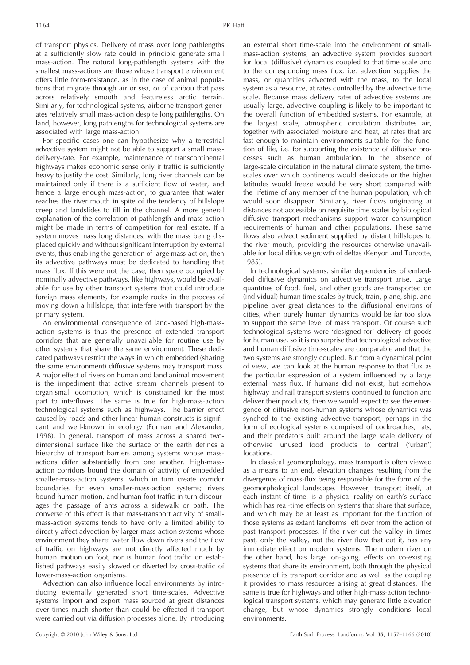of transport physics. Delivery of mass over long pathlengths at a sufficiently slow rate could in principle generate small mass-action. The natural long-pathlength systems with the smallest mass-actions are those whose transport environment offers little form-resistance, as in the case of animal populations that migrate through air or sea, or of caribou that pass across relatively smooth and featureless arctic terrain. Similarly, for technological systems, airborne transport generates relatively small mass-action despite long pathlengths. On land, however, long pathlengths for technological systems are associated with large mass-action.

For specific cases one can hypothesize why a terrestrial advective system might not be able to support a small massdelivery-rate. For example, maintenance of transcontinental highways makes economic sense only if traffic is sufficiently heavy to justify the cost. Similarly, long river channels can be maintained only if there is a sufficient flow of water, and hence a large enough mass-action, to guarantee that water reaches the river mouth in spite of the tendency of hillslope creep and landslides to fill in the channel. A more general explanation of the correlation of pathlength and mass-action might be made in terms of competition for real estate. If a system moves mass long distances, with the mass being displaced quickly and without significant interruption by external events, thus enabling the generation of large mass-action, then its advective pathways must be dedicated to handling that mass flux. If this were not the case, then space occupied by nominally advective pathways, like highways, would be available for use by other transport systems that could introduce foreign mass elements, for example rocks in the process of moving down a hillslope, that interfere with transport by the primary system.

An environmental consequence of land-based high-massaction systems is thus the presence of extended transport corridors that are generally unavailable for routine use by other systems that share the same environment. These dedicated pathways restrict the ways in which embedded (sharing the same environment) diffusive systems may transport mass. A major effect of rivers on human and land animal movement is the impediment that active stream channels present to organismal locomotion, which is constrained for the most part to interfluves. The same is true for high-mass-action technological systems such as highways. The barrier effect caused by roads and other linear human constructs is significant and well-known in ecology (Forman and Alexander, 1998). In general, transport of mass across a shared twodimensional surface like the surface of the earth defines a hierarchy of transport barriers among systems whose massactions differ substantially from one another. High-massaction corridors bound the domain of activity of embedded smaller-mass-action systems, which in turn create corridor boundaries for even smaller-mass-action systems; rivers bound human motion, and human foot traffic in turn discourages the passage of ants across a sidewalk or path. The converse of this effect is that mass-transport activity of smallmass-action systems tends to have only a limited ability to directly affect advection by larger-mass-action systems whose environment they share: water flow down rivers and the flow of traffic on highways are not directly affected much by human motion on foot, nor is human foot traffic on established pathways easily slowed or diverted by cross-traffic of lower-mass-action organisms.

Advection can also influence local environments by introducing externally generated short time-scales. Advective systems import and export mass sourced at great distances over times much shorter than could be effected if transport were carried out via diffusion processes alone. By introducing an external short time-scale into the environment of smallmass-action systems, an advective system provides support for local (diffusive) dynamics coupled to that time scale and to the corresponding mass flux, i.e. advection supplies the mass, or quantities advected with the mass, to the local system as a resource, at rates controlled by the advective time scale. Because mass delivery rates of advective systems are usually large, advective coupling is likely to be important to the overall function of embedded systems. For example, at the largest scale, atmospheric circulation distributes air, together with associated moisture and heat, at rates that are fast enough to maintain environments suitable for the function of life, i.e. for supporting the existence of diffusive processes such as human ambulation. In the absence of large-scale circulation in the natural climate system, the timescales over which continents would desiccate or the higher latitudes would freeze would be very short compared with the lifetime of any member of the human population, which would soon disappear. Similarly, river flows originating at distances not accessible on requisite time scales by biological diffusive transport mechanisms support water consumption requirements of human and other populations. These same flows also advect sediment supplied by distant hillslopes to the river mouth, providing the resources otherwise unavailable for local diffusive growth of deltas (Kenyon and Turcotte, 1985).

In technological systems, similar dependencies of embedded diffusive dynamics on advective transport arise. Large quantities of food, fuel, and other goods are transported on (individual) human time scales by truck, train, plane, ship, and pipeline over great distances to the diffusional environs of cities, when purely human dynamics would be far too slow to support the same level of mass transport. Of course such technological systems were 'designed for' delivery of goods for human use, so it is no surprise that technological advective and human diffusive time-scales are comparable and that the two systems are strongly coupled. But from a dynamical point of view, we can look at the human response to that flux as the particular expression of a system influenced by a large external mass flux. If humans did not exist, but somehow highway and rail transport systems continued to function and deliver their products, then we would expect to see the emergence of diffusive non-human systems whose dynamics was synched to the existing advective transport, perhaps in the form of ecological systems comprised of cockroaches, rats, and their predators built around the large scale delivery of otherwise unused food products to central ('urban') locations.

In classical geomorphology, mass transport is often viewed as a means to an end, elevation changes resulting from the divergence of mass-flux being responsible for the form of the geomorphological landscape. However, transport itself, at each instant of time, is a physical reality on earth's surface which has real-time effects on systems that share that surface, and which may be at least as important for the function of those systems as extant landforms left over from the action of past transport processes. If the river cut the valley in times past, only the valley, not the river flow that cut it, has any immediate effect on modern systems. The modern river on the other hand, has large, on-going, effects on co-existing systems that share its environment, both through the physical presence of its transport corridor and as well as the coupling it provides to mass resources arising at great distances. The same is true for highways and other high-mass-action technological transport systems, which may generate little elevation change, but whose dynamics strongly conditions local environments.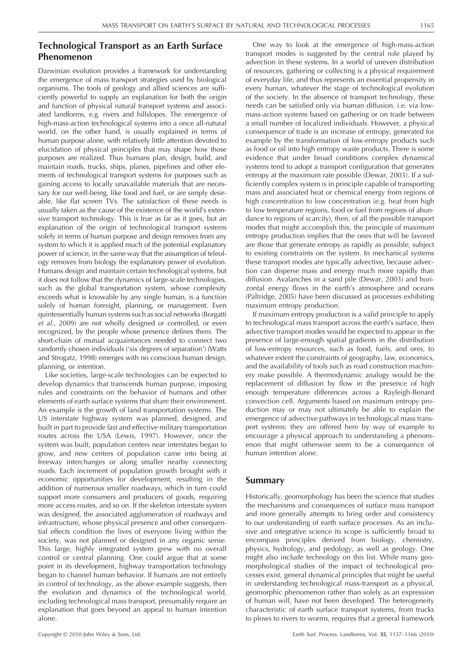## **Technological Transport as an Earth Surface Phenomenon**

Darwinian evolution provides a framework for understanding the emergence of mass transport strategies used by biological organisms. The tools of geology and allied sciences are sufficiently powerful to supply an explanation for both the origin and function of physical natural transport systems and associated landforms, e.g. rivers and hillslopes. The emergence of high-mass-action technological systems into a once all-natural world, on the other hand, is usually explained in terms of human purpose alone, with relatively little attention devoted to elucidation of physical principles that may shape how those purposes are realized. Thus humans plan, design, build, and maintain roads, trucks, ships, planes, pipelines and other elements of technological transport systems for purposes such as gaining access to locally unavailable materials that are necessary for our well-being, like food and fuel, or are simply desirable, like flat screen TVs. The satisfaction of these needs is usually taken as the cause of the existence of the world's extensive transport technology. This is true as far as it goes, but an explanation of the origin of technological transport systems solely in terms of human purpose and design removes from any system to which it is applied much of the potential explanatory power of science, in the same way that the assumption of teleology removes from biology the explanatory power of evolution. Humans design and maintain certain technological systems, but it does not follow that the dynamics of large-scale technologies, such as the global transportation system, whose complexity exceeds what is knowable by any single human, is a function solely of human foresight, planning, or management. Even quintessentially human systems such as social networks (Borgatti *et al*., 2009) are not wholly designed or controlled, or even recognized, by the people whose presence defines them. The short-chain of mutual acquaintances needed to connect two randomly chosen individuals ('six degrees of separation') (Watts and Strogatz, 1998) emerges with no conscious human design, planning, or intention.

Like societies, large-scale technologies can be expected to develop dynamics that transcends human purpose, imposing rules and constraints on the behavior of humans and other elements of earth surface systems that share their environment. An example is the growth of land transportation systems. The US interstate highway system was planned, designed, and built in part to provide fast and effective military transportation routes across the USA (Lewis, 1997). However, once the system was built, population centers near interstates began to grow, and new centers of population came into being at freeway interchanges or along smaller nearby connecting roads. Each increment of population growth brought with it economic opportunities for development, resulting in the addition of numerous smaller roadways, which in turn could support more consumers and producers of goods, requiring more access routes, and so on. If the skeleton interstate system was designed, the associated agglomeration of roadways and infrastructure, whose physical presence and other consequential effects condition the lives of everyone living within the society, was not planned or designed in any organic sense. This large, highly integrated system grew with no overall control or central planning. One could argue that at some point in its development, highway transportation technology began to channel human behavior. If humans are not entirely in control of technology, as the above example suggests, then the evolution and dynamics of the technological world, including technological mass transport, presumably require an explanation that goes beyond an appeal to human intention alone.

One way to look at the emergence of high-mass-action transport modes is suggested by the central role played by advection in these systems. In a world of uneven distribution of resources, gathering or collecting is a physical requirement of everyday life, and thus represents an essential propensity in every human, whatever the stage of technological evolution of the society. In the absence of transport technology, these needs can be satisfied only via human diffusion, i.e. via lowmass-action systems based on gathering or on trade between a small number of localized individuals. However, a physical consequence of trade is an increase of entropy, generated for example by the transformation of low-entropy products such as food or oil into high entropy waste products. There is some evidence that under broad conditions complex dynamical systems tend to adopt a transport configuration that generates entropy at the maximum rate possible (Dewar, 2003). If a sufficiently complex system is in principle capable of transporting mass and associated heat or chemical energy from regions of high concentration to low concentration (e.g. heat from high to low temperature regions, food or fuel from regions of abundance to regions of scarcity), then, of all the possible transport modes that might accomplish this, the principle of maximum entropy production implies that the ones that will be favored are those that generate entropy as rapidly as possible, subject to existing constraints on the system. In mechanical systems these transport modes are typically advective, because advection can disperse mass and energy much more rapidly than diffusion. Avalanches in a sand pile (Dewar, 2003) and horizontal energy flows in the earth's atmosphere and oceans (Paltridge, 2005) have been discussed as processes exhibiting maximum entropy production.

If maximum entropy production is a valid principle to apply to technological mass transport across the earth's surface, then advective transport modes would be expected to appear in the presence of large-enough spatial gradients in the distribution of low-entropy resources, such as food, fuels, and ores, to whatever extent the constraints of geography, law, economics, and the availability of tools such as road construction machinery make possible. A thermodynamic analogy would be the replacement of diffusion by flow in the presence of high enough temperature differences across a Rayleigh-Benard convection cell. Arguments based on maximum entropy production may or may not ultimately be able to explain the emergence of advective pathways in technological mass transport systems; they are offered here by way of example to encourage a physical approach to understanding a phenomenon that might otherwise seem to be a consequence of human intention alone.

#### **Summary**

Historically, geomorphology has been the science that studies the mechanisms and consequences of surface mass transport and more generally attempts to bring order and consistency to our understanding of earth surface processes. As an inclusive and integrative science its scope is sufficiently broad to encompass principles derived from biology, chemistry, physics, hydrology, and pedology, as well as geology. One might also include technology on this list. While many geomorphological studies of the impact of technological processes exist, general dynamical principles that might be useful in understanding technological mass-transport as a physical, geomorphic phenomenon rather than solely as an expression of human will, have not been developed. The heterogeneity characteristic of earth surface transport systems, from trucks to plows to rivers to worms, requires that a general framework